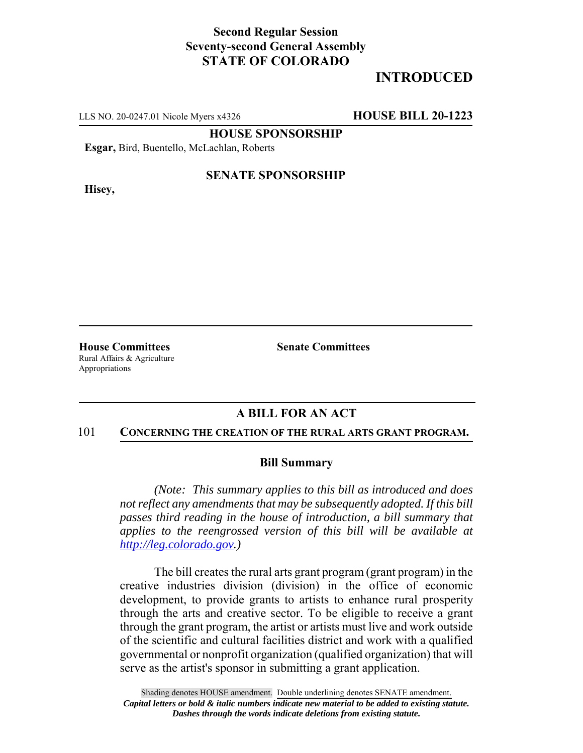## **Second Regular Session Seventy-second General Assembly STATE OF COLORADO**

# **INTRODUCED**

LLS NO. 20-0247.01 Nicole Myers x4326 **HOUSE BILL 20-1223**

**HOUSE SPONSORSHIP**

**Esgar,** Bird, Buentello, McLachlan, Roberts

**Hisey,**

### **SENATE SPONSORSHIP**

**House Committees Senate Committees** Rural Affairs & Agriculture Appropriations

#### **A BILL FOR AN ACT**

#### 101 **CONCERNING THE CREATION OF THE RURAL ARTS GRANT PROGRAM.**

#### **Bill Summary**

*(Note: This summary applies to this bill as introduced and does not reflect any amendments that may be subsequently adopted. If this bill passes third reading in the house of introduction, a bill summary that applies to the reengrossed version of this bill will be available at http://leg.colorado.gov.)*

The bill creates the rural arts grant program (grant program) in the creative industries division (division) in the office of economic development, to provide grants to artists to enhance rural prosperity through the arts and creative sector. To be eligible to receive a grant through the grant program, the artist or artists must live and work outside of the scientific and cultural facilities district and work with a qualified governmental or nonprofit organization (qualified organization) that will serve as the artist's sponsor in submitting a grant application.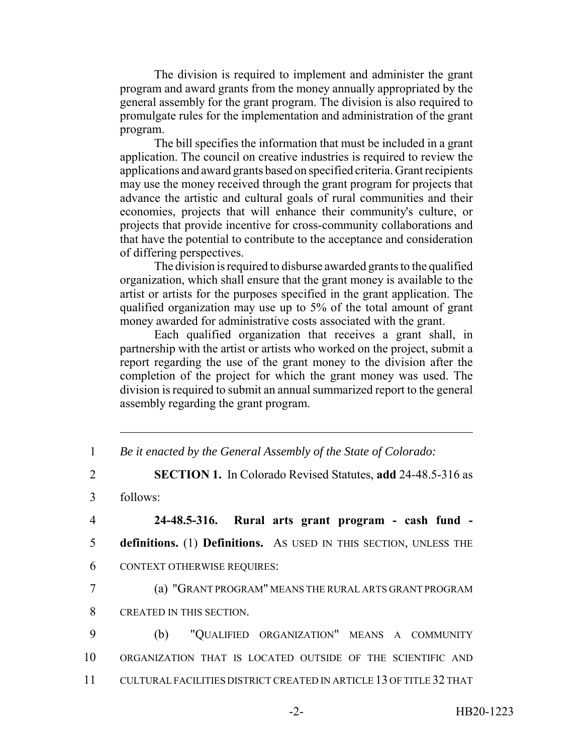The division is required to implement and administer the grant program and award grants from the money annually appropriated by the general assembly for the grant program. The division is also required to promulgate rules for the implementation and administration of the grant program.

The bill specifies the information that must be included in a grant application. The council on creative industries is required to review the applications and award grants based on specified criteria. Grant recipients may use the money received through the grant program for projects that advance the artistic and cultural goals of rural communities and their economies, projects that will enhance their community's culture, or projects that provide incentive for cross-community collaborations and that have the potential to contribute to the acceptance and consideration of differing perspectives.

The division is required to disburse awarded grants to the qualified organization, which shall ensure that the grant money is available to the artist or artists for the purposes specified in the grant application. The qualified organization may use up to 5% of the total amount of grant money awarded for administrative costs associated with the grant.

Each qualified organization that receives a grant shall, in partnership with the artist or artists who worked on the project, submit a report regarding the use of the grant money to the division after the completion of the project for which the grant money was used. The division is required to submit an annual summarized report to the general assembly regarding the grant program.

1 *Be it enacted by the General Assembly of the State of Colorado:*

2 **SECTION 1.** In Colorado Revised Statutes, **add** 24-48.5-316 as

3 follows:

4 **24-48.5-316. Rural arts grant program - cash fund -** 5 **definitions.** (1) **Definitions.** AS USED IN THIS SECTION, UNLESS THE 6 CONTEXT OTHERWISE REQUIRES:

7 (a) "GRANT PROGRAM" MEANS THE RURAL ARTS GRANT PROGRAM 8 CREATED IN THIS SECTION.

9 (b) "QUALIFIED ORGANIZATION" MEANS A COMMUNITY 10 ORGANIZATION THAT IS LOCATED OUTSIDE OF THE SCIENTIFIC AND 11 CULTURAL FACILITIES DISTRICT CREATED IN ARTICLE 13 OF TITLE 32 THAT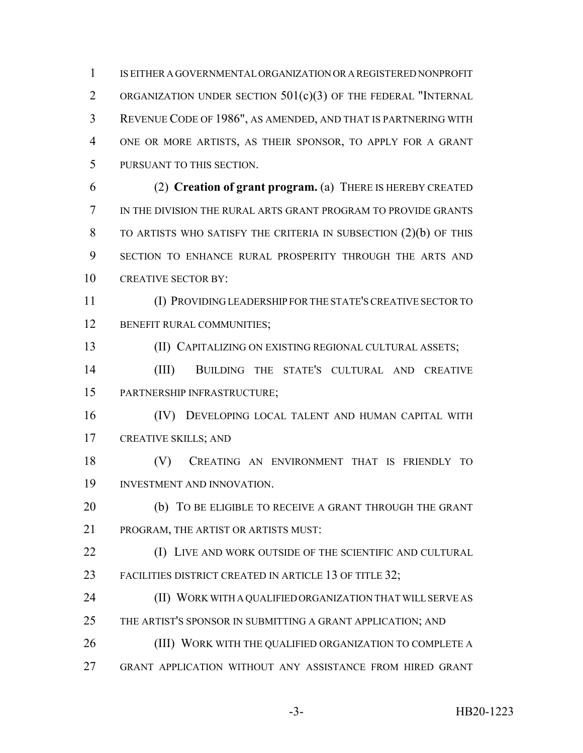IS EITHER A GOVERNMENTAL ORGANIZATION OR A REGISTERED NONPROFIT ORGANIZATION UNDER SECTION 501(c)(3) OF THE FEDERAL "INTERNAL REVENUE CODE OF 1986", AS AMENDED, AND THAT IS PARTNERING WITH ONE OR MORE ARTISTS, AS THEIR SPONSOR, TO APPLY FOR A GRANT PURSUANT TO THIS SECTION.

 (2) **Creation of grant program.** (a) THERE IS HEREBY CREATED IN THE DIVISION THE RURAL ARTS GRANT PROGRAM TO PROVIDE GRANTS TO ARTISTS WHO SATISFY THE CRITERIA IN SUBSECTION (2)(b) OF THIS SECTION TO ENHANCE RURAL PROSPERITY THROUGH THE ARTS AND 10 CREATIVE SECTOR BY:

 (I) PROVIDING LEADERSHIP FOR THE STATE'S CREATIVE SECTOR TO 12 BENEFIT RURAL COMMUNITIES;

(II) CAPITALIZING ON EXISTING REGIONAL CULTURAL ASSETS;

 (III) BUILDING THE STATE'S CULTURAL AND CREATIVE PARTNERSHIP INFRASTRUCTURE;

 (IV) DEVELOPING LOCAL TALENT AND HUMAN CAPITAL WITH CREATIVE SKILLS; AND

 (V) CREATING AN ENVIRONMENT THAT IS FRIENDLY TO INVESTMENT AND INNOVATION.

20 (b) TO BE ELIGIBLE TO RECEIVE A GRANT THROUGH THE GRANT PROGRAM, THE ARTIST OR ARTISTS MUST:

**(I) LIVE AND WORK OUTSIDE OF THE SCIENTIFIC AND CULTURAL** 23 FACILITIES DISTRICT CREATED IN ARTICLE 13 OF TITLE 32;

 (II) WORK WITH A QUALIFIED ORGANIZATION THAT WILL SERVE AS THE ARTIST'S SPONSOR IN SUBMITTING A GRANT APPLICATION; AND

(III) WORK WITH THE QUALIFIED ORGANIZATION TO COMPLETE A

GRANT APPLICATION WITHOUT ANY ASSISTANCE FROM HIRED GRANT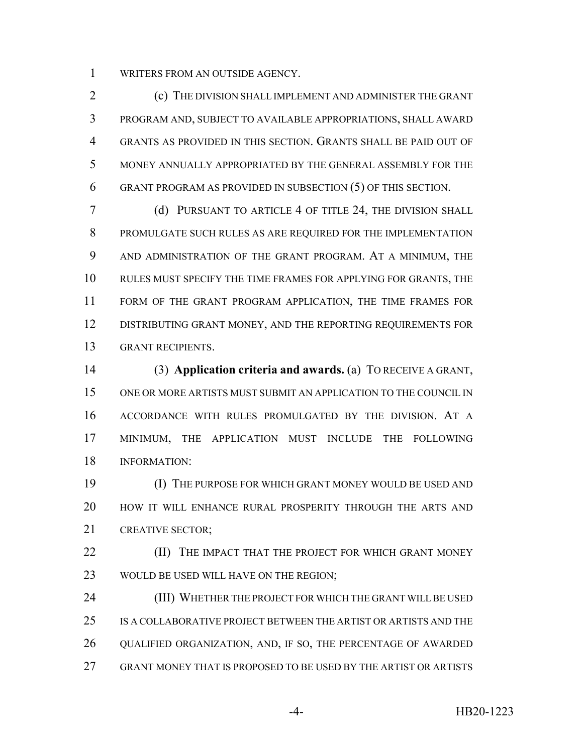WRITERS FROM AN OUTSIDE AGENCY.

 (c) THE DIVISION SHALL IMPLEMENT AND ADMINISTER THE GRANT PROGRAM AND, SUBJECT TO AVAILABLE APPROPRIATIONS, SHALL AWARD GRANTS AS PROVIDED IN THIS SECTION. GRANTS SHALL BE PAID OUT OF MONEY ANNUALLY APPROPRIATED BY THE GENERAL ASSEMBLY FOR THE GRANT PROGRAM AS PROVIDED IN SUBSECTION (5) OF THIS SECTION.

 (d) PURSUANT TO ARTICLE 4 OF TITLE 24, THE DIVISION SHALL PROMULGATE SUCH RULES AS ARE REQUIRED FOR THE IMPLEMENTATION AND ADMINISTRATION OF THE GRANT PROGRAM. AT A MINIMUM, THE RULES MUST SPECIFY THE TIME FRAMES FOR APPLYING FOR GRANTS, THE FORM OF THE GRANT PROGRAM APPLICATION, THE TIME FRAMES FOR 12 DISTRIBUTING GRANT MONEY, AND THE REPORTING REQUIREMENTS FOR GRANT RECIPIENTS.

 (3) **Application criteria and awards.** (a) TO RECEIVE A GRANT, ONE OR MORE ARTISTS MUST SUBMIT AN APPLICATION TO THE COUNCIL IN ACCORDANCE WITH RULES PROMULGATED BY THE DIVISION. AT A MINIMUM, THE APPLICATION MUST INCLUDE THE FOLLOWING INFORMATION:

 (I) THE PURPOSE FOR WHICH GRANT MONEY WOULD BE USED AND HOW IT WILL ENHANCE RURAL PROSPERITY THROUGH THE ARTS AND 21 CREATIVE SECTOR:

**(II)** THE IMPACT THAT THE PROJECT FOR WHICH GRANT MONEY WOULD BE USED WILL HAVE ON THE REGION;

 (III) WHETHER THE PROJECT FOR WHICH THE GRANT WILL BE USED IS A COLLABORATIVE PROJECT BETWEEN THE ARTIST OR ARTISTS AND THE QUALIFIED ORGANIZATION, AND, IF SO, THE PERCENTAGE OF AWARDED GRANT MONEY THAT IS PROPOSED TO BE USED BY THE ARTIST OR ARTISTS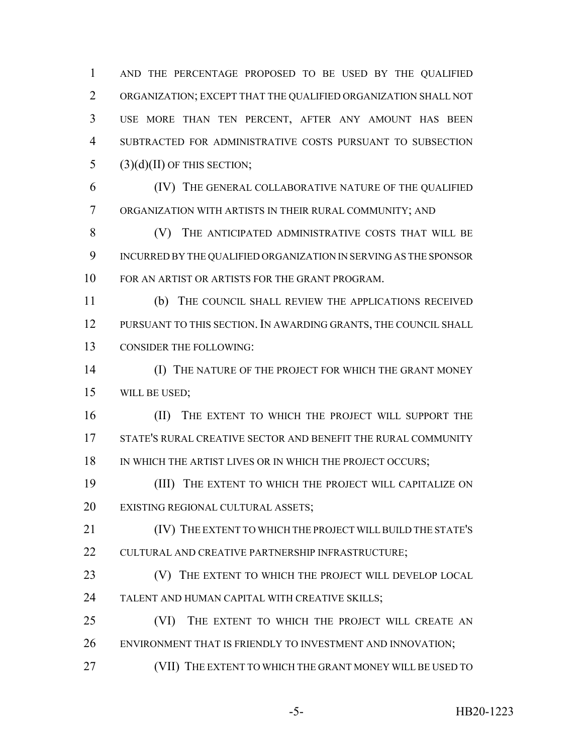AND THE PERCENTAGE PROPOSED TO BE USED BY THE QUALIFIED ORGANIZATION; EXCEPT THAT THE QUALIFIED ORGANIZATION SHALL NOT USE MORE THAN TEN PERCENT, AFTER ANY AMOUNT HAS BEEN SUBTRACTED FOR ADMINISTRATIVE COSTS PURSUANT TO SUBSECTION 5 (3)(d)(II) OF THIS SECTION;

 (IV) THE GENERAL COLLABORATIVE NATURE OF THE QUALIFIED ORGANIZATION WITH ARTISTS IN THEIR RURAL COMMUNITY; AND

 (V) THE ANTICIPATED ADMINISTRATIVE COSTS THAT WILL BE INCURRED BY THE QUALIFIED ORGANIZATION IN SERVING AS THE SPONSOR FOR AN ARTIST OR ARTISTS FOR THE GRANT PROGRAM.

 (b) THE COUNCIL SHALL REVIEW THE APPLICATIONS RECEIVED PURSUANT TO THIS SECTION. IN AWARDING GRANTS, THE COUNCIL SHALL CONSIDER THE FOLLOWING:

**(I) THE NATURE OF THE PROJECT FOR WHICH THE GRANT MONEY** WILL BE USED;

16 (II) THE EXTENT TO WHICH THE PROJECT WILL SUPPORT THE STATE'S RURAL CREATIVE SECTOR AND BENEFIT THE RURAL COMMUNITY 18 IN WHICH THE ARTIST LIVES OR IN WHICH THE PROJECT OCCURS;

 (III) THE EXTENT TO WHICH THE PROJECT WILL CAPITALIZE ON EXISTING REGIONAL CULTURAL ASSETS;

 (IV) THE EXTENT TO WHICH THE PROJECT WILL BUILD THE STATE'S CULTURAL AND CREATIVE PARTNERSHIP INFRASTRUCTURE;

**(V)** THE EXTENT TO WHICH THE PROJECT WILL DEVELOP LOCAL TALENT AND HUMAN CAPITAL WITH CREATIVE SKILLS;

 (VI) THE EXTENT TO WHICH THE PROJECT WILL CREATE AN 26 ENVIRONMENT THAT IS FRIENDLY TO INVESTMENT AND INNOVATION;

(VII) THE EXTENT TO WHICH THE GRANT MONEY WILL BE USED TO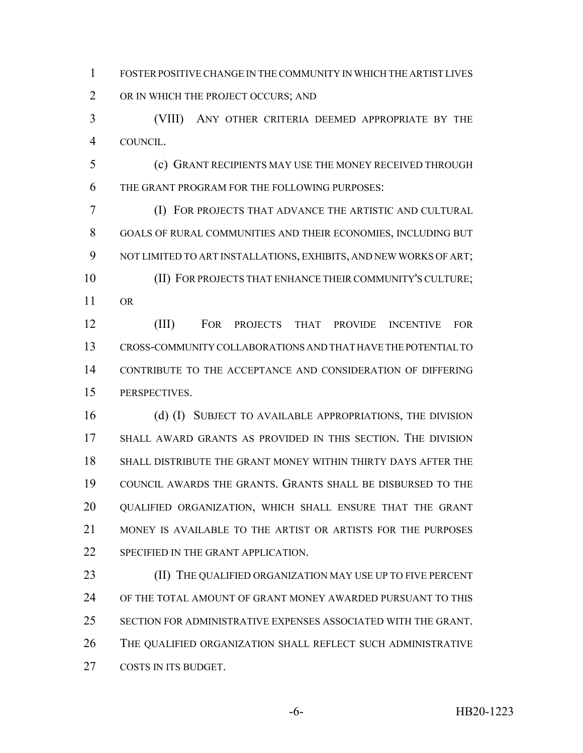FOSTER POSITIVE CHANGE IN THE COMMUNITY IN WHICH THE ARTIST LIVES 2 OR IN WHICH THE PROJECT OCCURS; AND

 (VIII) ANY OTHER CRITERIA DEEMED APPROPRIATE BY THE COUNCIL.

 (c) GRANT RECIPIENTS MAY USE THE MONEY RECEIVED THROUGH THE GRANT PROGRAM FOR THE FOLLOWING PURPOSES:

 (I) FOR PROJECTS THAT ADVANCE THE ARTISTIC AND CULTURAL GOALS OF RURAL COMMUNITIES AND THEIR ECONOMIES, INCLUDING BUT NOT LIMITED TO ART INSTALLATIONS, EXHIBITS, AND NEW WORKS OF ART; (II) FOR PROJECTS THAT ENHANCE THEIR COMMUNITY'S CULTURE; OR

 (III) FOR PROJECTS THAT PROVIDE INCENTIVE FOR CROSS-COMMUNITY COLLABORATIONS AND THAT HAVE THE POTENTIAL TO CONTRIBUTE TO THE ACCEPTANCE AND CONSIDERATION OF DIFFERING PERSPECTIVES.

16 (d) (I) SUBJECT TO AVAILABLE APPROPRIATIONS, THE DIVISION SHALL AWARD GRANTS AS PROVIDED IN THIS SECTION. THE DIVISION SHALL DISTRIBUTE THE GRANT MONEY WITHIN THIRTY DAYS AFTER THE COUNCIL AWARDS THE GRANTS. GRANTS SHALL BE DISBURSED TO THE QUALIFIED ORGANIZATION, WHICH SHALL ENSURE THAT THE GRANT 21 MONEY IS AVAILABLE TO THE ARTIST OR ARTISTS FOR THE PURPOSES SPECIFIED IN THE GRANT APPLICATION.

23 (II) THE QUALIFIED ORGANIZATION MAY USE UP TO FIVE PERCENT OF THE TOTAL AMOUNT OF GRANT MONEY AWARDED PURSUANT TO THIS SECTION FOR ADMINISTRATIVE EXPENSES ASSOCIATED WITH THE GRANT. THE QUALIFIED ORGANIZATION SHALL REFLECT SUCH ADMINISTRATIVE 27 COSTS IN ITS BUDGET.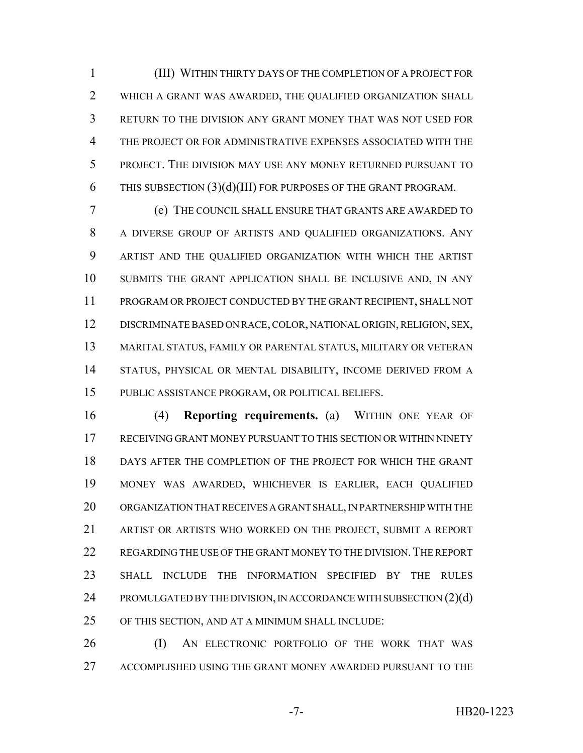(III) WITHIN THIRTY DAYS OF THE COMPLETION OF A PROJECT FOR WHICH A GRANT WAS AWARDED, THE QUALIFIED ORGANIZATION SHALL RETURN TO THE DIVISION ANY GRANT MONEY THAT WAS NOT USED FOR THE PROJECT OR FOR ADMINISTRATIVE EXPENSES ASSOCIATED WITH THE PROJECT. THE DIVISION MAY USE ANY MONEY RETURNED PURSUANT TO THIS SUBSECTION (3)(d)(III) FOR PURPOSES OF THE GRANT PROGRAM.

 (e) THE COUNCIL SHALL ENSURE THAT GRANTS ARE AWARDED TO A DIVERSE GROUP OF ARTISTS AND QUALIFIED ORGANIZATIONS. ANY ARTIST AND THE QUALIFIED ORGANIZATION WITH WHICH THE ARTIST SUBMITS THE GRANT APPLICATION SHALL BE INCLUSIVE AND, IN ANY PROGRAM OR PROJECT CONDUCTED BY THE GRANT RECIPIENT, SHALL NOT DISCRIMINATE BASED ON RACE, COLOR, NATIONAL ORIGIN, RELIGION, SEX, MARITAL STATUS, FAMILY OR PARENTAL STATUS, MILITARY OR VETERAN STATUS, PHYSICAL OR MENTAL DISABILITY, INCOME DERIVED FROM A PUBLIC ASSISTANCE PROGRAM, OR POLITICAL BELIEFS.

 (4) **Reporting requirements.** (a) WITHIN ONE YEAR OF RECEIVING GRANT MONEY PURSUANT TO THIS SECTION OR WITHIN NINETY DAYS AFTER THE COMPLETION OF THE PROJECT FOR WHICH THE GRANT MONEY WAS AWARDED, WHICHEVER IS EARLIER, EACH QUALIFIED ORGANIZATION THAT RECEIVES A GRANT SHALL, IN PARTNERSHIP WITH THE ARTIST OR ARTISTS WHO WORKED ON THE PROJECT, SUBMIT A REPORT 22 REGARDING THE USE OF THE GRANT MONEY TO THE DIVISION. THE REPORT SHALL INCLUDE THE INFORMATION SPECIFIED BY THE RULES 24 PROMULGATED BY THE DIVISION, IN ACCORDANCE WITH SUBSECTION (2)(d) OF THIS SECTION, AND AT A MINIMUM SHALL INCLUDE:

26 (I) AN ELECTRONIC PORTFOLIO OF THE WORK THAT WAS ACCOMPLISHED USING THE GRANT MONEY AWARDED PURSUANT TO THE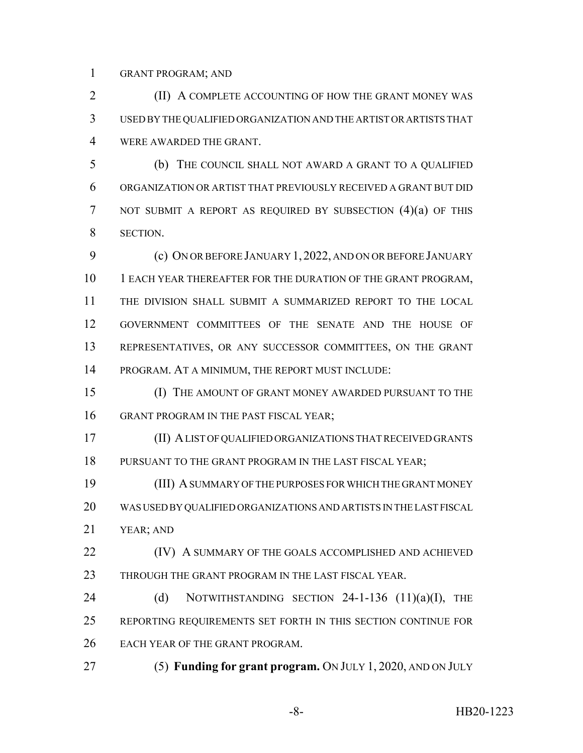GRANT PROGRAM; AND

**(II) A COMPLETE ACCOUNTING OF HOW THE GRANT MONEY WAS**  USED BY THE QUALIFIED ORGANIZATION AND THE ARTIST OR ARTISTS THAT WERE AWARDED THE GRANT.

 (b) THE COUNCIL SHALL NOT AWARD A GRANT TO A QUALIFIED ORGANIZATION OR ARTIST THAT PREVIOUSLY RECEIVED A GRANT BUT DID NOT SUBMIT A REPORT AS REQUIRED BY SUBSECTION (4)(a) OF THIS SECTION.

 (c) ON OR BEFORE JANUARY 1, 2022, AND ON OR BEFORE JANUARY 10 1 EACH YEAR THEREAFTER FOR THE DURATION OF THE GRANT PROGRAM, THE DIVISION SHALL SUBMIT A SUMMARIZED REPORT TO THE LOCAL GOVERNMENT COMMITTEES OF THE SENATE AND THE HOUSE OF REPRESENTATIVES, OR ANY SUCCESSOR COMMITTEES, ON THE GRANT PROGRAM. AT A MINIMUM, THE REPORT MUST INCLUDE:

 (I) THE AMOUNT OF GRANT MONEY AWARDED PURSUANT TO THE 16 GRANT PROGRAM IN THE PAST FISCAL YEAR;

 (II) A LIST OF QUALIFIED ORGANIZATIONS THAT RECEIVED GRANTS 18 PURSUANT TO THE GRANT PROGRAM IN THE LAST FISCAL YEAR;

 (III) A SUMMARY OF THE PURPOSES FOR WHICH THE GRANT MONEY WAS USED BY QUALIFIED ORGANIZATIONS AND ARTISTS IN THE LAST FISCAL YEAR; AND

**(IV)** A SUMMARY OF THE GOALS ACCOMPLISHED AND ACHIEVED THROUGH THE GRANT PROGRAM IN THE LAST FISCAL YEAR.

24 (d) NOTWITHSTANDING SECTION 24-1-136 (11)(a)(I), THE REPORTING REQUIREMENTS SET FORTH IN THIS SECTION CONTINUE FOR EACH YEAR OF THE GRANT PROGRAM.

(5) **Funding for grant program.** ON JULY 1, 2020, AND ON JULY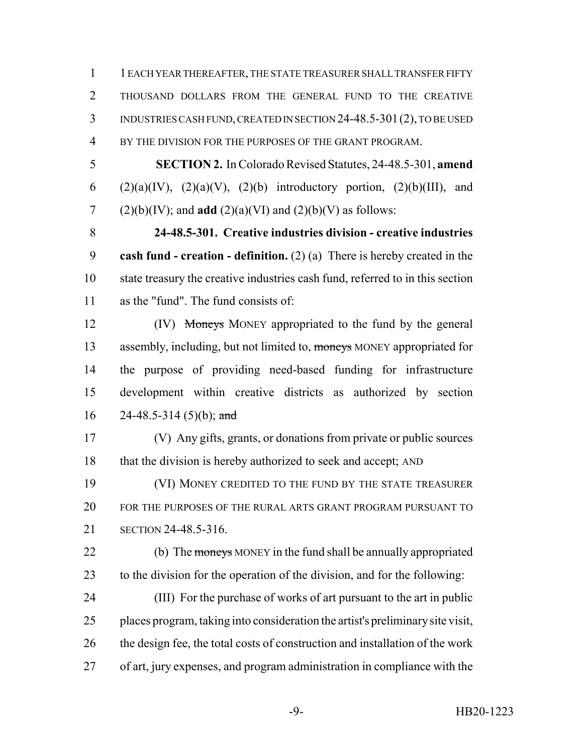1 EACH YEAR THEREAFTER, THE STATE TREASURER SHALL TRANSFER FIFTY THOUSAND DOLLARS FROM THE GENERAL FUND TO THE CREATIVE INDUSTRIES CASH FUND, CREATED IN SECTION 24-48.5-301(2), TO BE USED BY THE DIVISION FOR THE PURPOSES OF THE GRANT PROGRAM.

 **SECTION 2.** In Colorado Revised Statutes, 24-48.5-301, **amend** 6 (2)(a)(IV), (2)(a)(V), (2)(b) introductory portion, (2)(b)(III), and 7 (2)(b)(IV); and **add** (2)(a)(VI) and (2)(b)(V) as follows:

 **24-48.5-301. Creative industries division - creative industries cash fund - creation - definition.** (2) (a) There is hereby created in the state treasury the creative industries cash fund, referred to in this section as the "fund". The fund consists of:

12 (IV) Moneys MONEY appropriated to the fund by the general 13 assembly, including, but not limited to, moneys MONEY appropriated for the purpose of providing need-based funding for infrastructure development within creative districts as authorized by section 16 24-48.5-314 (5)(b); and

 (V) Any gifts, grants, or donations from private or public sources 18 that the division is hereby authorized to seek and accept; AND

 (VI) MONEY CREDITED TO THE FUND BY THE STATE TREASURER FOR THE PURPOSES OF THE RURAL ARTS GRANT PROGRAM PURSUANT TO SECTION 24-48.5-316.

22 (b) The moneys MONEY in the fund shall be annually appropriated to the division for the operation of the division, and for the following:

 (III) For the purchase of works of art pursuant to the art in public places program, taking into consideration the artist's preliminary site visit, the design fee, the total costs of construction and installation of the work of art, jury expenses, and program administration in compliance with the